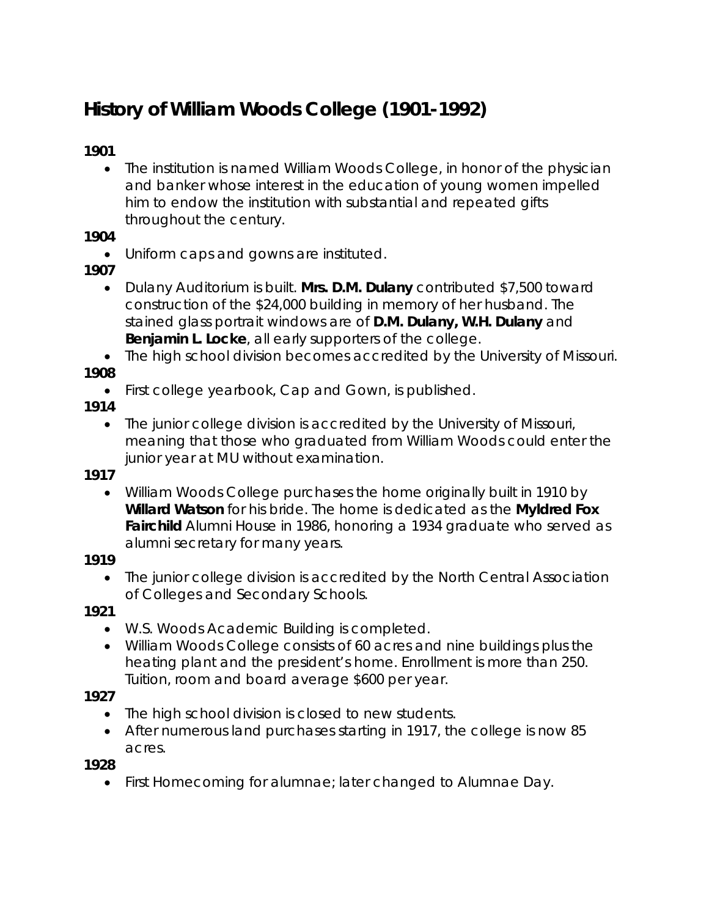# **History of William Woods College (1901-1992)**

# **1901**

• The institution is named William Woods College, in honor of the physician and banker whose interest in the education of young women impelled him to endow the institution with substantial and repeated gifts throughout the century.

## **1904**

• Uniform caps and gowns are instituted.

**1907**

- Dulany Auditorium is built. **Mrs. D.M. Dulany** contributed \$7,500 toward construction of the \$24,000 building in memory of her husband. The stained glass portrait windows are of **D.M. Dulany, W.H. Dulany** and **Benjamin L. Locke**, all early supporters of the college.
- The high school division becomes accredited by the University of Missouri. **1908**
	- First college yearbook, Cap and Gown, is published.

# **1914**

• The junior college division is accredited by the University of Missouri, meaning that those who graduated from William Woods could enter the junior year at MU without examination.

**1917**

• William Woods College purchases the home originally built in 1910 by **Willard Watson** for his bride. The home is dedicated as the **Myldred Fox Fairchild** Alumni House in 1986, honoring a 1934 graduate who served as alumni secretary for many years.

## **1919**

• The junior college division is accredited by the North Central Association of Colleges and Secondary Schools.

## **1921**

- W.S. Woods Academic Building is completed.
- William Woods College consists of 60 acres and nine buildings plus the heating plant and the president's home. Enrollment is more than 250. Tuition, room and board average \$600 per year.

## **1927**

- The high school division is closed to new students.
- After numerous land purchases starting in 1917, the college is now 85 acres.

## **1928**

• First Homecoming for alumnae; later changed to Alumnae Day.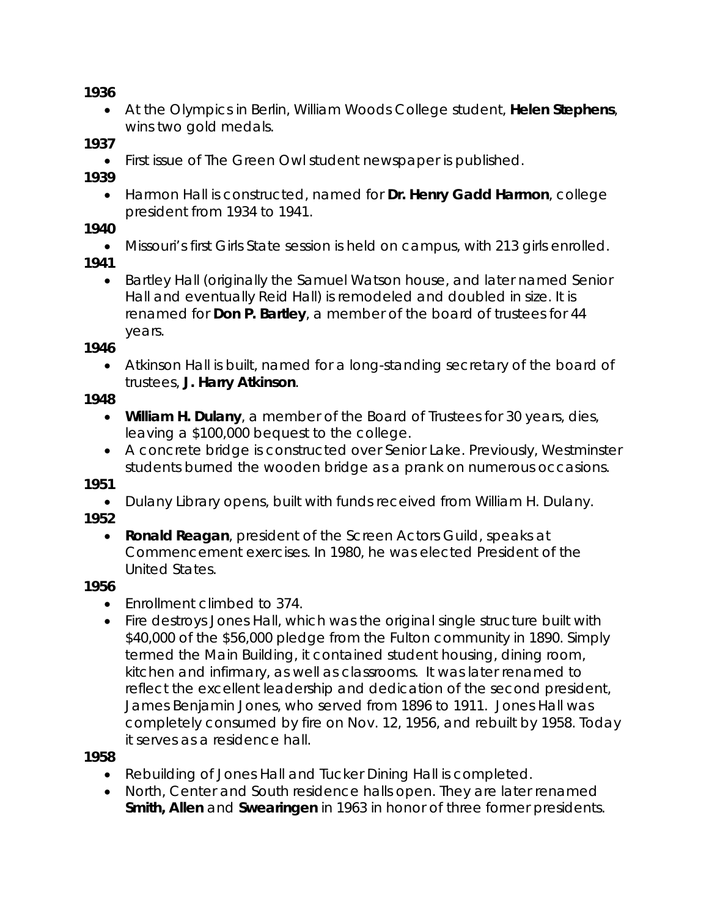**1936**

• At the Olympics in Berlin, William Woods College student, **Helen Stephens**, wins two gold medals.

#### **1937**

• First issue of The Green Owl student newspaper is published.

**1939**

• Harmon Hall is constructed, named for **Dr. Henry Gadd Harmon**, college president from 1934 to 1941.

#### **1940**

• Missouri's first Girls State session is held on campus, with 213 girls enrolled.

**1941**

• Bartley Hall (originally the Samuel Watson house, and later named Senior Hall and eventually Reid Hall) is remodeled and doubled in size. It is renamed for **Don P. Bartley**, a member of the board of trustees for 44 years.

#### **1946**

• Atkinson Hall is built, named for a long-standing secretary of the board of trustees, **J. Harry Atkinson**.

#### **1948**

- **William H. Dulany**, a member of the Board of Trustees for 30 years, dies, leaving a \$100,000 bequest to the college.
- A concrete bridge is constructed over Senior Lake. Previously, Westminster students burned the wooden bridge as a prank on numerous occasions.

#### **1951**

• Dulany Library opens, built with funds received from William H. Dulany.

**1952**

• **Ronald Reagan**, president of the Screen Actors Guild, speaks at Commencement exercises. In 1980, he was elected President of the United States.

## **1956**

- Enrollment climbed to 374.
- Fire destroys Jones Hall, which was the original single structure built with \$40,000 of the \$56,000 pledge from the Fulton community in 1890. Simply termed the Main Building, it contained student housing, dining room, kitchen and infirmary, as well as classrooms. It was later renamed to reflect the excellent leadership and dedication of the second president, James Benjamin Jones, who served from 1896 to 1911. Jones Hall was completely consumed by fire on Nov. 12, 1956, and rebuilt by 1958. Today it serves as a residence hall.

- Rebuilding of Jones Hall and Tucker Dining Hall is completed.
- North, Center and South residence halls open. They are later renamed **Smith, Allen** and **Swearingen** in 1963 in honor of three former presidents.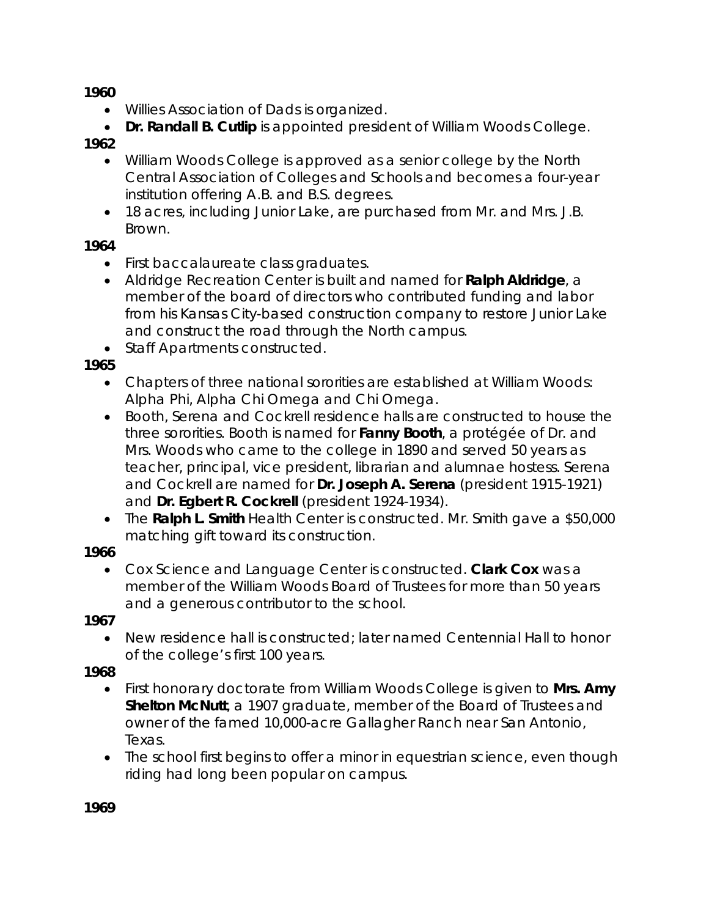**1960**

• Willies Association of Dads is organized.

• **Dr. Randall B. Cutlip** is appointed president of William Woods College.

## **1962**

- William Woods College is approved as a senior college by the North Central Association of Colleges and Schools and becomes a four-year institution offering A.B. and B.S. degrees.
- 18 acres, including Junior Lake, are purchased from Mr. and Mrs. J.B. Brown.

## **1964**

- First baccalaureate class graduates.
- Aldridge Recreation Center is built and named for **Ralph Aldridge**, a member of the board of directors who contributed funding and labor from his Kansas City-based construction company to restore Junior Lake and construct the road through the North campus.
- Staff Apartments constructed.

# **1965**

- Chapters of three national sororities are established at William Woods: Alpha Phi, Alpha Chi Omega and Chi Omega.
- Booth, Serena and Cockrell residence halls are constructed to house the three sororities. Booth is named for **Fanny Booth**, a protégée of Dr. and Mrs. Woods who came to the college in 1890 and served 50 years as teacher, principal, vice president, librarian and alumnae hostess. Serena and Cockrell are named for **Dr. Joseph A. Serena** (president 1915-1921) and **Dr. Egbert R. Cockrell** (president 1924-1934).
- The **Ralph L. Smith** Health Center is constructed. Mr. Smith gave a \$50,000 matching gift toward its construction.

## **1966**

• Cox Science and Language Center is constructed. **Clark Cox** was a member of the William Woods Board of Trustees for more than 50 years and a generous contributor to the school.

## **1967**

• New residence hall is constructed; later named Centennial Hall to honor of the college's first 100 years.

# **1968**

- First honorary doctorate from William Woods College is given to **Mrs. Amy Shelton McNutt**, a 1907 graduate, member of the Board of Trustees and owner of the famed 10,000-acre Gallagher Ranch near San Antonio, Texas.
- The school first begins to offer a minor in equestrian science, even though riding had long been popular on campus.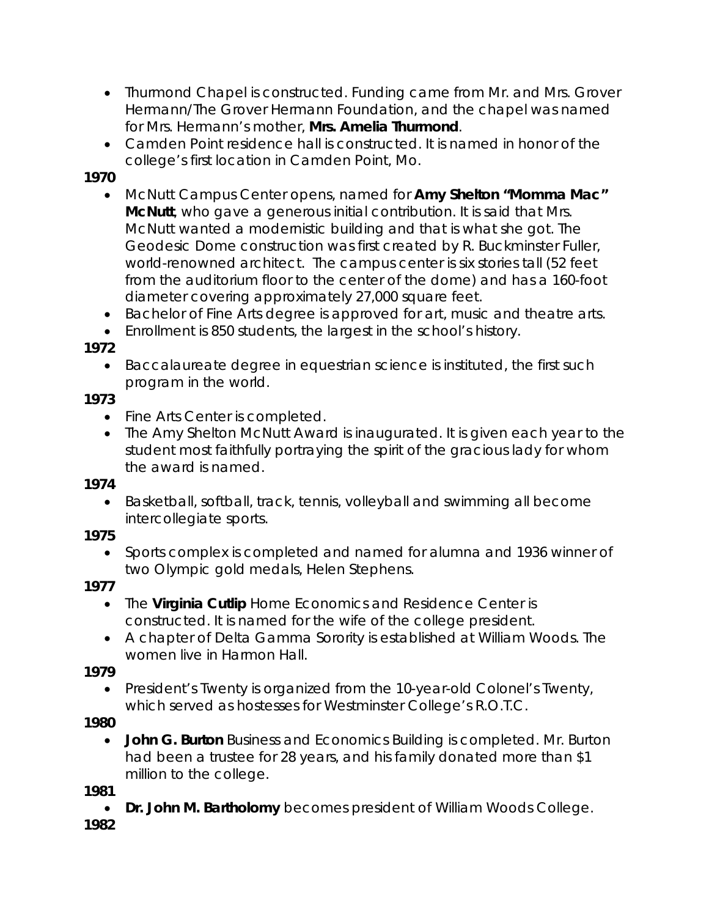- Thurmond Chapel is constructed. Funding came from Mr. and Mrs. Grover Hermann/The Grover Hermann Foundation, and the chapel was named for Mrs. Hermann's mother, **Mrs. Amelia Thurmond**.
- Camden Point residence hall is constructed. It is named in honor of the college's first location in Camden Point, Mo.

## **1970**

- McNutt Campus Center opens, named for **Amy Shelton "Momma Mac" McNutt**, who gave a generous initial contribution. It is said that Mrs. McNutt wanted a modernistic building and that is what she got. The Geodesic Dome construction was first created by R. Buckminster Fuller, world-renowned architect. The campus center is six stories tall (52 feet from the auditorium floor to the center of the dome) and has a 160-foot diameter covering approximately 27,000 square feet.
- Bachelor of Fine Arts degree is approved for art, music and theatre arts.
- Enrollment is 850 students, the largest in the school's history.

## **1972**

• Baccalaureate degree in equestrian science is instituted, the first such program in the world.

# **1973**

- Fine Arts Center is completed.
- The Amy Shelton McNutt Award is inaugurated. It is given each year to the student most faithfully portraying the spirit of the gracious lady for whom the award is named.

## **1974**

• Basketball, softball, track, tennis, volleyball and swimming all become intercollegiate sports.

## **1975**

• Sports complex is completed and named for alumna and 1936 winner of two Olympic gold medals, Helen Stephens.

# **1977**

- The **Virginia Cutlip** Home Economics and Residence Center is constructed. It is named for the wife of the college president.
- A chapter of Delta Gamma Sorority is established at William Woods. The women live in Harmon Hall.

# **1979**

• President's Twenty is organized from the 10-year-old Colonel's Twenty, which served as hostesses for Westminster College's R.O.T.C.

# **1980**

• **John G. Burton** Business and Economics Building is completed. Mr. Burton had been a trustee for 28 years, and his family donated more than \$1 million to the college.

## **1981**

• **Dr. John M. Bartholomy** becomes president of William Woods College.